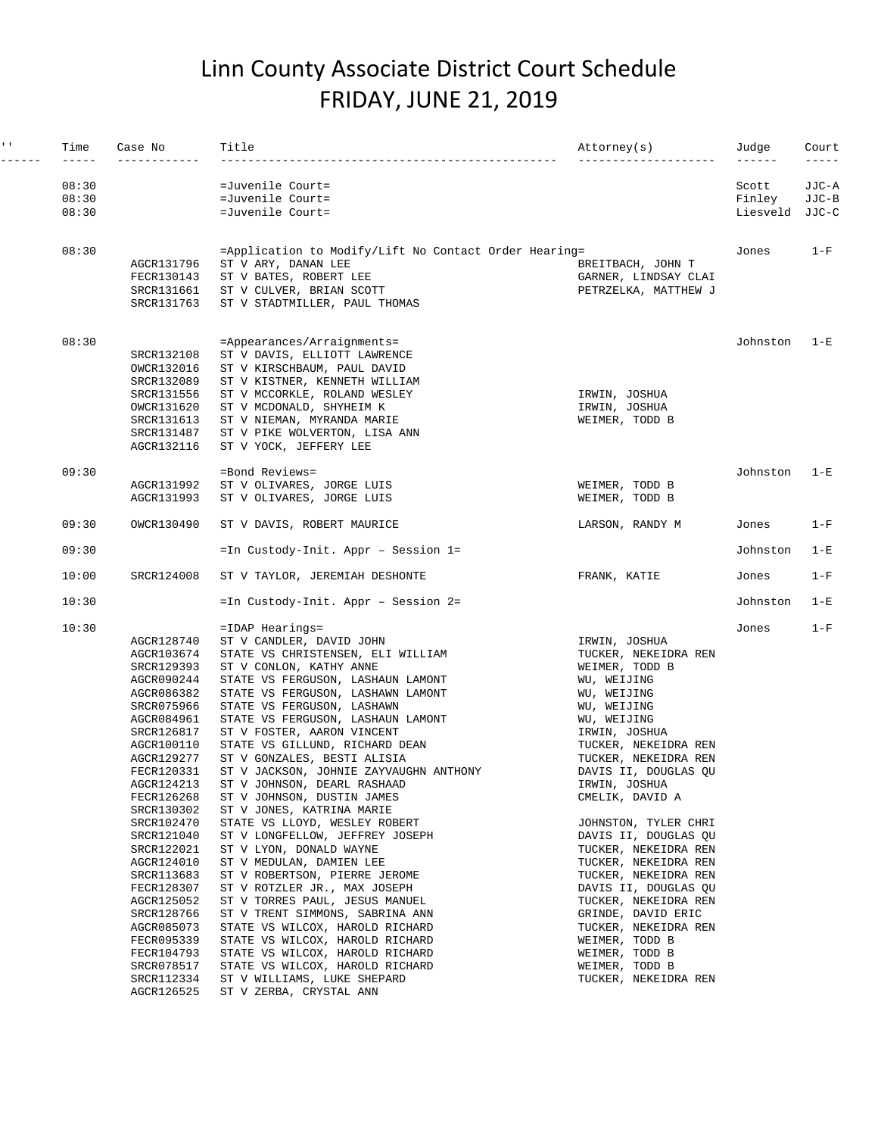## Linn County Associate District Court Schedule FRIDAY, JUNE 21, 2019

| $\mathbf{I}=\mathbf{I}$ . | Time           | Case No                                                                                                                                                                                                                                                                                                                                                                                              | Title                                                                                                                                                                                                                                                                                                                                                                                                                                                                                                                                                                                                                                                                                                                                                                                                                                                                                                                                                                 | Attorney(s)<br>---------                                                                                                                                                                                                                                                                                                                                                                                                                                                                                                                             | Judge           | Court<br>$---$ |
|---------------------------|----------------|------------------------------------------------------------------------------------------------------------------------------------------------------------------------------------------------------------------------------------------------------------------------------------------------------------------------------------------------------------------------------------------------------|-----------------------------------------------------------------------------------------------------------------------------------------------------------------------------------------------------------------------------------------------------------------------------------------------------------------------------------------------------------------------------------------------------------------------------------------------------------------------------------------------------------------------------------------------------------------------------------------------------------------------------------------------------------------------------------------------------------------------------------------------------------------------------------------------------------------------------------------------------------------------------------------------------------------------------------------------------------------------|------------------------------------------------------------------------------------------------------------------------------------------------------------------------------------------------------------------------------------------------------------------------------------------------------------------------------------------------------------------------------------------------------------------------------------------------------------------------------------------------------------------------------------------------------|-----------------|----------------|
|                           | 08:30<br>08:30 |                                                                                                                                                                                                                                                                                                                                                                                                      | =Juvenile Court=<br>=Juvenile Court=                                                                                                                                                                                                                                                                                                                                                                                                                                                                                                                                                                                                                                                                                                                                                                                                                                                                                                                                  |                                                                                                                                                                                                                                                                                                                                                                                                                                                                                                                                                      | Scott<br>Finley | JJC-A<br>JJC-B |
|                           | 08:30          |                                                                                                                                                                                                                                                                                                                                                                                                      | =Juvenile Court=                                                                                                                                                                                                                                                                                                                                                                                                                                                                                                                                                                                                                                                                                                                                                                                                                                                                                                                                                      |                                                                                                                                                                                                                                                                                                                                                                                                                                                                                                                                                      | Liesveld JJC-C  |                |
|                           | 08:30          | AGCR131796<br>FECR130143<br>SRCR131661<br>SRCR131763                                                                                                                                                                                                                                                                                                                                                 | $=$ Application to Modify/Lift No Contact Order Hearing=<br>ST V ARY, DANAN LEE<br>ST V BATES, ROBERT LEE<br>ST V CULVER, BRIAN SCOTT<br>ST V STADTMILLER, PAUL THOMAS                                                                                                                                                                                                                                                                                                                                                                                                                                                                                                                                                                                                                                                                                                                                                                                                | BREITBACH, JOHN T<br>GARNER, LINDSAY CLAI<br>PETRZELKA, MATTHEW J                                                                                                                                                                                                                                                                                                                                                                                                                                                                                    | Jones           | $1-F$          |
|                           | 08:30          | SRCR132108<br>OWCR132016<br>SRCR132089<br>SRCR131556<br>OWCR131620<br>SRCR131613<br>SRCR131487<br>AGCR132116                                                                                                                                                                                                                                                                                         | =Appearances/Arraignments=<br>ST V DAVIS, ELLIOTT LAWRENCE<br>ST V KIRSCHBAUM, PAUL DAVID<br>ST V KISTNER, KENNETH WILLIAM<br>ST V MCCORKLE, ROLAND WESLEY<br>ST V MCDONALD, SHYHEIM K<br>ST V NIEMAN, MYRANDA MARIE<br>ST V PIKE WOLVERTON, LISA ANN<br>ST V YOCK, JEFFERY LEE                                                                                                                                                                                                                                                                                                                                                                                                                                                                                                                                                                                                                                                                                       | IRWIN, JOSHUA<br>IRWIN, JOSHUA<br>WEIMER, TODD B                                                                                                                                                                                                                                                                                                                                                                                                                                                                                                     | Johnston        | $1-E$          |
|                           | 09:30          | AGCR131992<br>AGCR131993                                                                                                                                                                                                                                                                                                                                                                             | =Bond Reviews=<br>ST V OLIVARES, JORGE LUIS<br>ST V OLIVARES, JORGE LUIS                                                                                                                                                                                                                                                                                                                                                                                                                                                                                                                                                                                                                                                                                                                                                                                                                                                                                              | WEIMER, TODD B<br>WEIMER, TODD B                                                                                                                                                                                                                                                                                                                                                                                                                                                                                                                     | Johnston        | $1-E$          |
|                           | 09:30          | OWCR130490                                                                                                                                                                                                                                                                                                                                                                                           | ST V DAVIS, ROBERT MAURICE                                                                                                                                                                                                                                                                                                                                                                                                                                                                                                                                                                                                                                                                                                                                                                                                                                                                                                                                            | LARSON, RANDY M                                                                                                                                                                                                                                                                                                                                                                                                                                                                                                                                      | Jones           | $1-F$          |
|                           | 09:30          |                                                                                                                                                                                                                                                                                                                                                                                                      | =In Custody-Init. Appr - Session 1=                                                                                                                                                                                                                                                                                                                                                                                                                                                                                                                                                                                                                                                                                                                                                                                                                                                                                                                                   |                                                                                                                                                                                                                                                                                                                                                                                                                                                                                                                                                      | Johnston        | $1-E$          |
|                           | 10:00          | SRCR124008                                                                                                                                                                                                                                                                                                                                                                                           | ST V TAYLOR, JEREMIAH DESHONTE                                                                                                                                                                                                                                                                                                                                                                                                                                                                                                                                                                                                                                                                                                                                                                                                                                                                                                                                        | FRANK, KATIE                                                                                                                                                                                                                                                                                                                                                                                                                                                                                                                                         | Jones           | $1-F$          |
|                           | 10:30          |                                                                                                                                                                                                                                                                                                                                                                                                      | =In Custody-Init. Appr - Session 2=                                                                                                                                                                                                                                                                                                                                                                                                                                                                                                                                                                                                                                                                                                                                                                                                                                                                                                                                   |                                                                                                                                                                                                                                                                                                                                                                                                                                                                                                                                                      | Johnston        | $1-E$          |
|                           | 10:30          | AGCR128740<br>AGCR103674<br>SRCR129393<br>AGCR090244<br>AGCR086382<br>SRCR075966<br>AGCR084961<br>SRCR126817<br>AGCR100110<br>AGCR129277<br>FECR120331<br>AGCR124213<br>FECR126268<br>SRCR130302<br>SRCR102470<br>SRCR121040<br>SRCR122021<br>AGCR124010<br>SRCR113683<br>FECR128307<br>AGCR125052<br>SRCR128766<br>AGCR085073<br>FECR095339<br>FECR104793<br>SRCR078517<br>SRCR112334<br>AGCR126525 | $=$ IDAP Hearings=<br>ST V CANDLER, DAVID JOHN<br>STATE VS CHRISTENSEN, ELI WILLIAM<br>ST V CONLON, KATHY ANNE<br>STATE VS FERGUSON, LASHAUN LAMONT<br>STATE VS FERGUSON, LASHAWN LAMONT<br>STATE VS FERGUSON, LASHAWN<br>STATE VS FERGUSON, LASHAUN LAMONT<br>ST V FOSTER, AARON VINCENT<br>STATE VS GILLUND, RICHARD DEAN<br>ST V GONZALES, BESTI ALISIA<br>ST V JACKSON, JOHNIE ZAYVAUGHN ANTHONY<br>ST V JOHNSON, DEARL RASHAAD<br>ST V JOHNSON, DUSTIN JAMES<br>ST V JONES, KATRINA MARIE<br>STATE VS LLOYD, WESLEY ROBERT<br>ST V LONGFELLOW, JEFFREY JOSEPH<br>ST V LYON, DONALD WAYNE<br>ST V MEDULAN, DAMIEN LEE<br>ST V ROBERTSON, PIERRE JEROME<br>ST V ROTZLER JR., MAX JOSEPH<br>ST V TORRES PAUL, JESUS MANUEL<br>ST V TRENT SIMMONS, SABRINA ANN<br>STATE VS WILCOX, HAROLD RICHARD<br>STATE VS WILCOX, HAROLD RICHARD<br>STATE VS WILCOX, HAROLD RICHARD<br>STATE VS WILCOX, HAROLD RICHARD<br>ST V WILLIAMS, LUKE SHEPARD<br>ST V ZERBA, CRYSTAL ANN | IRWIN, JOSHUA<br>TUCKER, NEKEIDRA REN<br>WEIMER, TODD B<br>WU, WEIJING<br>WU, WEIJING<br>WU, WEIJING<br>WU, WEIJING<br>IRWIN, JOSHUA<br>TUCKER, NEKEIDRA REN<br>TUCKER, NEKEIDRA REN<br>DAVIS II, DOUGLAS QU<br>IRWIN, JOSHUA<br>CMELIK, DAVID A<br>JOHNSTON, TYLER CHRI<br>DAVIS II, DOUGLAS QU<br>TUCKER, NEKEIDRA REN<br>TUCKER, NEKEIDRA REN<br>TUCKER, NEKEIDRA REN<br>DAVIS II, DOUGLAS QU<br>TUCKER, NEKEIDRA REN<br>GRINDE, DAVID ERIC<br>TUCKER, NEKEIDRA REN<br>WEIMER, TODD B<br>WEIMER, TODD B<br>WEIMER, TODD B<br>TUCKER, NEKEIDRA REN | Jones           | $1-F$          |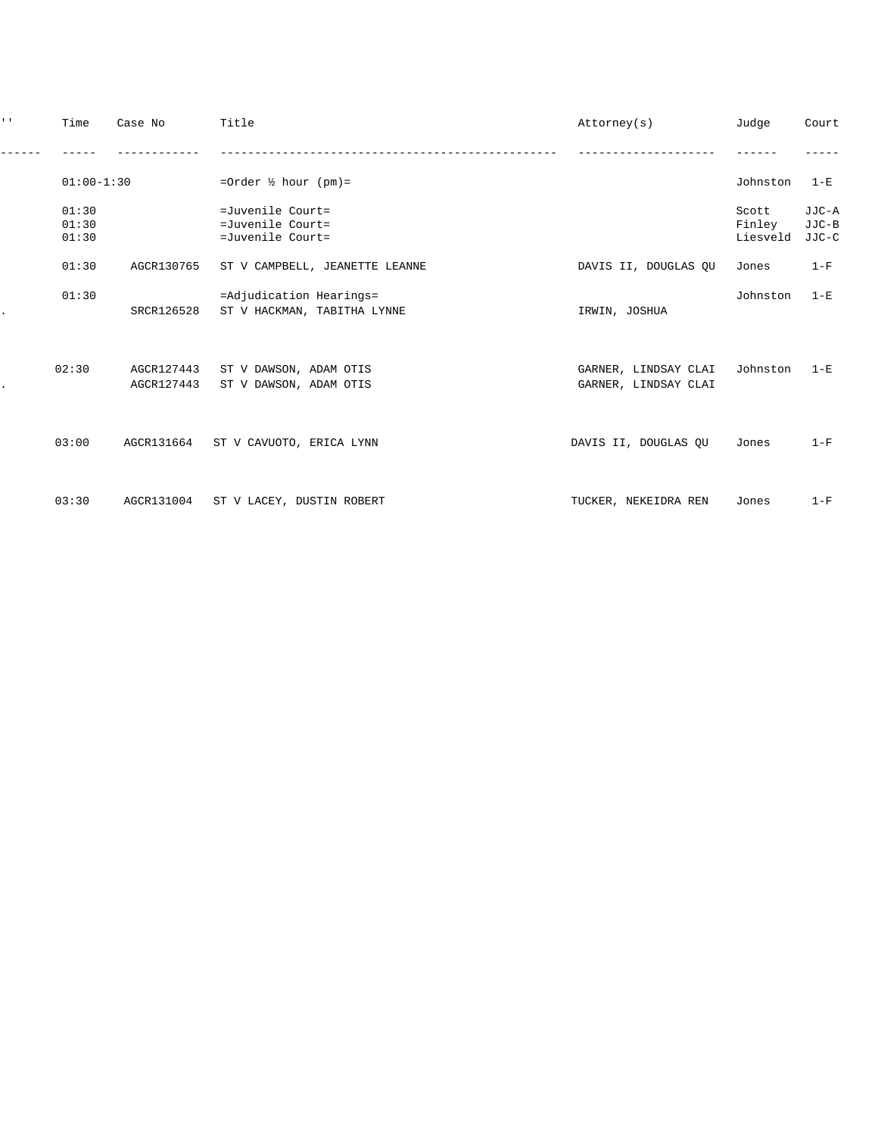| $1 - 1$ | Time                    | Case No                  | Title                                                    | Attorney(s)                                  | Judge                       | Court                   |
|---------|-------------------------|--------------------------|----------------------------------------------------------|----------------------------------------------|-----------------------------|-------------------------|
|         |                         |                          |                                                          |                                              |                             |                         |
|         | $01:00-1:30$            |                          | =Order $\frac{1}{2}$ hour (pm)=                          |                                              | Johnston                    | $1-E$                   |
|         | 01:30<br>01:30<br>01:30 |                          | =Juvenile Court=<br>=Juvenile Court=<br>=Juvenile Court= |                                              | Scott<br>Finley<br>Liesveld | JJC-A<br>JJC-B<br>JJC-C |
|         | 01:30                   | AGCR130765               | ST V CAMPBELL, JEANETTE LEANNE                           | DAVIS II, DOUGLAS QU                         | Jones                       | $1-F$                   |
|         | 01:30                   | SRCR126528               | =Adjudication Hearings=<br>ST V HACKMAN, TABITHA LYNNE   | IRWIN, JOSHUA                                | Johnston                    | $1 - E$                 |
|         | 02:30                   | AGCR127443<br>AGCR127443 | ST V DAWSON, ADAM OTIS<br>ST V DAWSON, ADAM OTIS         | GARNER, LINDSAY CLAI<br>GARNER, LINDSAY CLAI | Johnston                    | $1 - E$                 |
|         | 03:00                   |                          | AGCR131664 ST V CAVUOTO, ERICA LYNN                      | DAVIS II, DOUGLAS OU                         | Jones                       | $1-F$                   |
|         | 03:30                   | AGCR131004               | ST V LACEY, DUSTIN ROBERT                                | TUCKER, NEKEIDRA REN                         | Jones                       | $1-F$                   |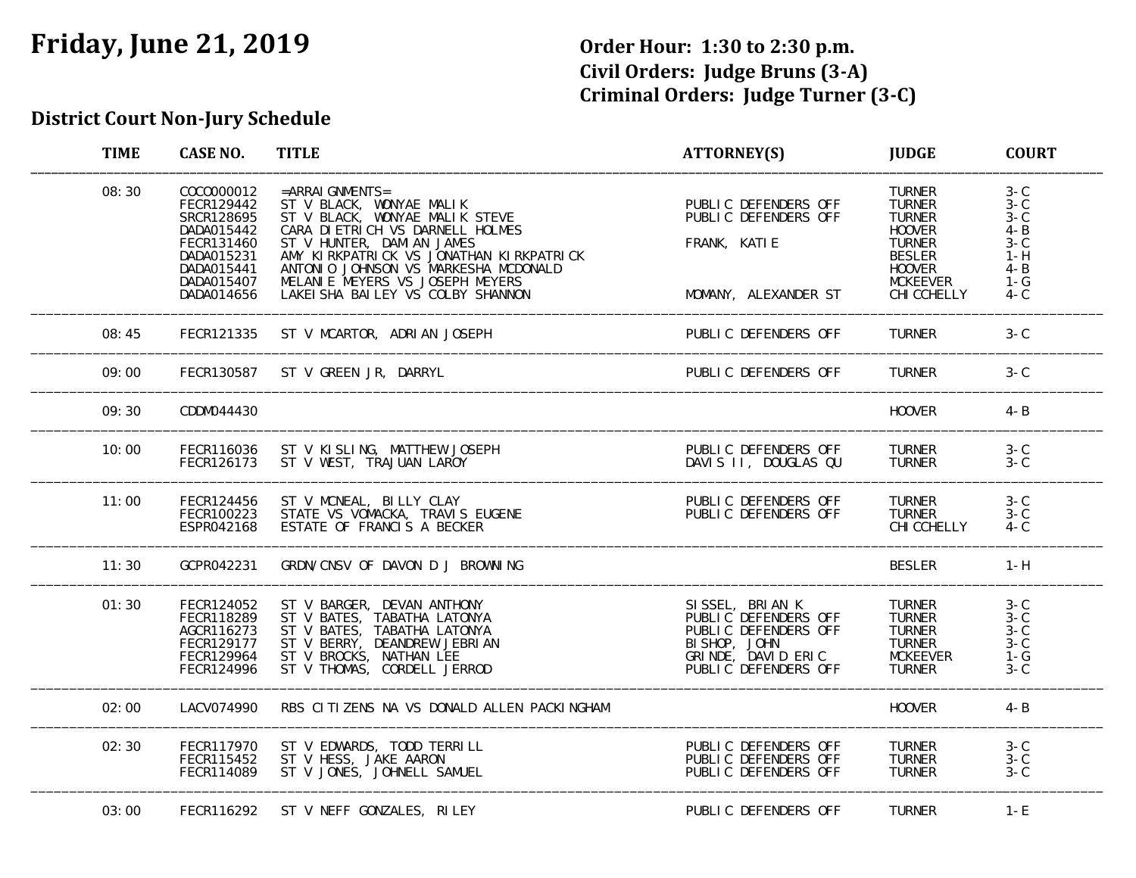# **Friday, June 21, 2019 Order Hour: 1:30 to 2:30 p.m.**

# **Civil Orders: Judge Bruns (3‐A) Criminal Orders: Judge Turner (3‐C)**

#### **District Court Non‐Jury Schedule**

| <b>TIME</b> | <b>CASE NO.</b>                                                                                                            | <b>TITLE</b>                                                                                                                                                                                                                                                                                                    | <b>ATTORNEY(S)</b>                                                                                                            | <b>JUDGE</b>                                                                                                                                          | <b>COURT</b>                                                                                                                      |
|-------------|----------------------------------------------------------------------------------------------------------------------------|-----------------------------------------------------------------------------------------------------------------------------------------------------------------------------------------------------------------------------------------------------------------------------------------------------------------|-------------------------------------------------------------------------------------------------------------------------------|-------------------------------------------------------------------------------------------------------------------------------------------------------|-----------------------------------------------------------------------------------------------------------------------------------|
| 08:30       | COC0000012<br>FECR129442<br>SRCR128695<br>DADA015442<br>FECR131460<br>DADA015231<br>DADA015441<br>DADA015407<br>DADA014656 | $=$ ARRAI GNMENTS=<br>ST V BLACK, WONYAE MALIK<br>ST V BLACK, WONYAE MALIK STEVE<br>CARA DI ETRI CH VS DARNELL HOLMES<br>ST V HUNTER, DAMI AN JAMES<br>AMY KIRKPATRICK VS JONATHAN KIRKPATRICK<br>ANTONIO JOHNSON VS MARKESHA MCDONALD<br>MELANIE MEYERS VS JOSEPH MEYERS<br>LAKEI SHA BAI LEY VS COLBY SHANNON | PUBLIC DEFENDERS OFF<br>PUBLIC DEFENDERS OFF<br>FRANK, KATIE<br>MOMANY, ALEXANDER ST                                          | <b>TURNER</b><br><b>TURNER</b><br><b>TURNER</b><br><b>HOOVER</b><br><b>TURNER</b><br><b>BESLER</b><br><b>HOOVER</b><br><b>MCKEEVER</b><br>CHI CCHELLY | $3 - C$<br>$\overline{3}-\overline{C}$<br>$3 - C$<br>$\overline{4}-\overline{B}$<br>$3-C$<br>$1-H$<br>$4 - B$<br>$1-G$<br>$4 - C$ |
| 08:45       | FECR121335                                                                                                                 | ST V MCARTOR, ADRIAN JOSEPH                                                                                                                                                                                                                                                                                     | PUBLIC DEFENDERS OFF                                                                                                          | <b>TURNER</b>                                                                                                                                         | $3-C$                                                                                                                             |
| 09:00       | FECR130587                                                                                                                 | ST V GREEN JR, DARRYL                                                                                                                                                                                                                                                                                           | PUBLIC DEFENDERS OFF                                                                                                          | <b>TURNER</b>                                                                                                                                         | $3-C$                                                                                                                             |
| 09:30       | CDDM044430                                                                                                                 |                                                                                                                                                                                                                                                                                                                 |                                                                                                                               | <b>HOOVER</b>                                                                                                                                         | $4 - B$                                                                                                                           |
| 10:00       | FECR116036<br>FECR126173                                                                                                   | ST V KISLING, MATTHEW JOSEPH<br>ST V WEST, TRAJUAN LAROY                                                                                                                                                                                                                                                        | PUBLIC DEFENDERS OFF<br>DAVIS II, DOUGLAS QU                                                                                  | <b>TURNER</b><br><b>TURNER</b>                                                                                                                        | $3-C$<br>$3-C$                                                                                                                    |
| 11:00       | FECR124456<br>FECR100223<br>ESPR042168                                                                                     | ST V MCNEAL, BILLY CLAY<br>STATE VS VOMACKA, TRAVIS EUGENE<br>ESTATE OF FRANCIS A BECKER                                                                                                                                                                                                                        | PUBLIC DEFENDERS OFF<br>PUBLIC DEFENDERS OFF                                                                                  | <b>TURNER</b><br><b>TURNER</b><br>CHI CCHELLY                                                                                                         | $3-C$<br>$3-C$<br>$4 - C$                                                                                                         |
| 11:30       | GCPR042231                                                                                                                 | GRDN/CNSV OF DAVON D J BROWNING                                                                                                                                                                                                                                                                                 |                                                                                                                               | <b>BESLER</b>                                                                                                                                         | $1-H$                                                                                                                             |
| 01:30       | FECR124052<br>FECR118289<br>AGCR116273<br>FECR129177<br>FECR129964<br>FECR124996                                           | ST V BARGER, DEVAN ANTHONY<br>ST V BATES, TABATHA LATONYA<br>ST V BATES, TABATHA LATONYA<br>ST V BERRY, DEANDREW JEBRIAN<br>ST V BROCKS, NATHAN LEE<br>ST V THOMAS, CORDELL JERROD                                                                                                                              | SISSEL, BRIAN K<br>PUBLIC DEFENDERS OFF<br>PUBLIC DEFENDERS OFF<br>BISHOP, JOHN<br>GRINDE, DAVID ERIC<br>PUBLIC DEFENDERS OFF | <b>TURNER</b><br><b>TURNER</b><br><b>TURNER</b><br><b>TURNER</b><br><b>MCKEEVER</b><br><b>TURNER</b>                                                  | $3-C$<br>$3-C$<br>$3 - C$<br>$3 - C$<br>$1-G$<br>$3 - C$                                                                          |
| 02:00       | LACV074990                                                                                                                 | RBS CLITIZENS NA VS DONALD ALLEN PACKINGHAM                                                                                                                                                                                                                                                                     |                                                                                                                               | <b>HOOVER</b>                                                                                                                                         | $4 - B$                                                                                                                           |
| 02:30       | FECR117970<br>FECR115452<br>FECR114089                                                                                     | ST V EDWARDS, TODD TERRILL<br>ST V HESS, JAKE AARON<br>ST V JONES, JOHNELL SAMUEL                                                                                                                                                                                                                               | PUBLIC DEFENDERS OFF<br>PUBLIC DEFENDERS OFF<br>PUBLIC DEFENDERS OFF                                                          | <b>TURNER</b><br><b>TURNER</b><br><b>TURNER</b>                                                                                                       | $3-C$<br>$3-C$<br>$3-C$                                                                                                           |
| 03:00       | FECR116292                                                                                                                 | ST V NEFF GONZALES, RILEY                                                                                                                                                                                                                                                                                       | PUBLIC DEFENDERS OFF                                                                                                          | <b>TURNER</b>                                                                                                                                         | $1-E$                                                                                                                             |